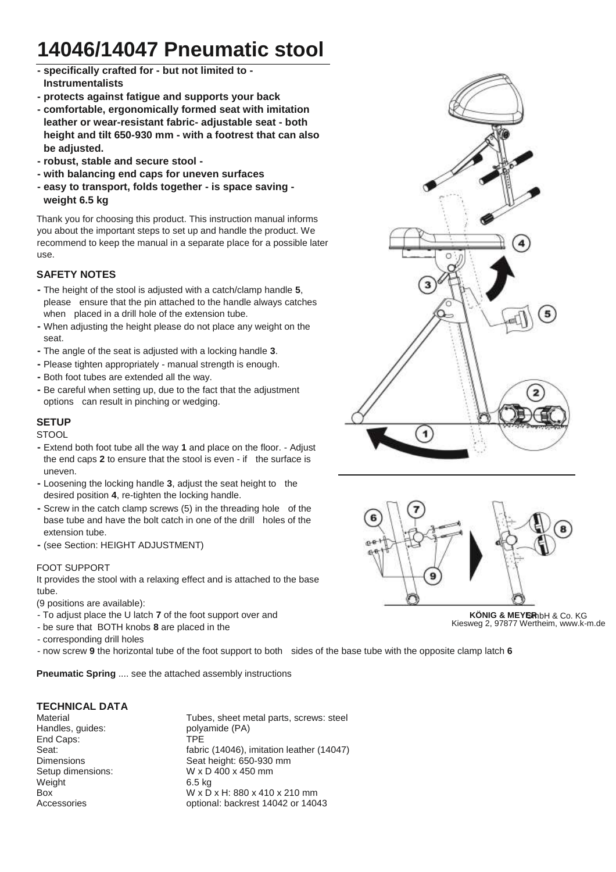## **14046/14047 Pneumatic stool**

- **- specifically crafted for - but not limited to - Instrumentalists**
- **- protects against fatigue and supports your back**
- **- comfortable, ergonomically formed seat with imitation leather or wear-resistant fabric- adjustable seat - both height and tilt 650-930 mm - with a footrest that can also be adjusted.**
- **- robust, stable and secure stool -**
- **- with balancing end caps for uneven surfaces**
- **- easy to transport, folds together - is space saving weight 6.5 kg**

Thank you for choosing this product. This instruction manual informs you about the important steps to set up and handle the product. We recommend to keep the manual in a separate place for a possible later use.

## **SAFETY NOTES**

- **-** The height of the stool is adjusted with a catch/clamp handle **5**, please ensure that the pin attached to the handle always catches when placed in a drill hole of the extension tube.
- **-** When adjusting the height please do not place any weight on the seat.
- **-** The angle of the seat is adjusted with a locking handle **3**.
- **-** Please tighten appropriately manual strength is enough.
- **-** Both foot tubes are extended all the way.
- **-** Be careful when setting up, due to the fact that the adjustment options can result in pinching or wedging.

## **SETUP**

**STOOL** 

- **-** Extend both foot tube all the way **1** and place on the floor. Adjust the end caps **2** to ensure that the stool is even - if - the surface is uneven.
- **-** Loosening the locking handle **3**, adjust the seat height to the desired position **4**, re-tighten the locking handle.
- Screw in the catch clamp screws (5) in the threading hole of the base tube and have the bolt catch in one of the drill - holes of the extension tube.
- **-** (see Section: HEIGHT ADJUSTMENT)

#### FOOT SUPPORT

It provides the stool with a relaxing effect and is attached to the base tube.

(9 positions are available):

- To adjust place the U latch **7** of the foot support over and
- be sure that BOTH knobs **8** are placed in the
- corresponding drill holes

- now screw **9** the horizontal tube of the foot support to both - sides of the base tube with the opposite clamp latch **6**

**Pneumatic Spring** .... see the attached assembly instructions

#### **TECHNICAL DATA**

Handles, guides: polyamide (PA) End Caps: TPE Dimensions Seat height: 650-930 mm Setup dimensions: W x D 400 x 450 mm Weight 6.5 kg Box W x D x H: 880 x 410 x 210 mm Accessories optional: backrest 14042 or 14043

Material Material Material Tubes, sheet metal parts, screws: steel Seat: **Seat: fabric** (14046), imitation leather (14047)





KÖNIG & MEYERhbH & Co. KG Kiesweg 2, 97877 Wertheim, www.k-m.de